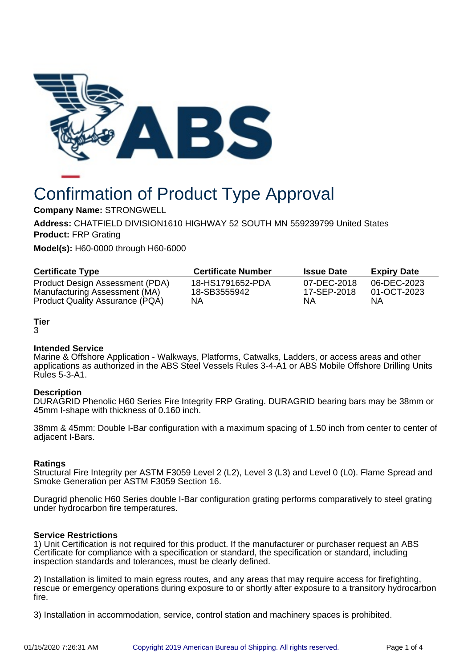

# Confirmation of Product Type Approval

**Company Name:** STRONGWELL

**Address:** CHATFIELD DIVISION1610 HIGHWAY 52 SOUTH MN 559239799 United States **Product:** FRP Grating

**Model(s):** H60-0000 through H60-6000

| <b>Certificate Type</b>                | <b>Certificate Number</b> | <b>Issue Date</b> | <b>Expiry Date</b> |
|----------------------------------------|---------------------------|-------------------|--------------------|
| Product Design Assessment (PDA)        | 18-HS1791652-PDA          | 07-DEC-2018       | 06-DEC-2023        |
| Manufacturing Assessment (MA)          | 18-SB3555942              | 17-SEP-2018       | 01-OCT-2023        |
| <b>Product Quality Assurance (PQA)</b> | NΑ                        | NΑ                | ΝA                 |

# **Tier**

#### 3

## **Intended Service**

Marine & Offshore Application - Walkways, Platforms, Catwalks, Ladders, or access areas and other applications as authorized in the ABS Steel Vessels Rules 3-4-A1 or ABS Mobile Offshore Drilling Units Rules 5-3-A1.

## **Description**

DURAGRID Phenolic H60 Series Fire Integrity FRP Grating. DURAGRID bearing bars may be 38mm or 45mm I-shape with thickness of 0.160 inch.

38mm & 45mm: Double I-Bar configuration with a maximum spacing of 1.50 inch from center to center of adjacent I-Bars.

## **Ratings**

Structural Fire Integrity per ASTM F3059 Level 2 (L2), Level 3 (L3) and Level 0 (L0). Flame Spread and Smoke Generation per ASTM F3059 Section 16.

Duragrid phenolic H60 Series double I-Bar configuration grating performs comparatively to steel grating under hydrocarbon fire temperatures.

## **Service Restrictions**

1) Unit Certification is not required for this product. If the manufacturer or purchaser request an ABS Certificate for compliance with a specification or standard, the specification or standard, including inspection standards and tolerances, must be clearly defined.

2) Installation is limited to main egress routes, and any areas that may require access for firefighting, rescue or emergency operations during exposure to or shortly after exposure to a transitory hydrocarbon fire.

3) Installation in accommodation, service, control station and machinery spaces is prohibited.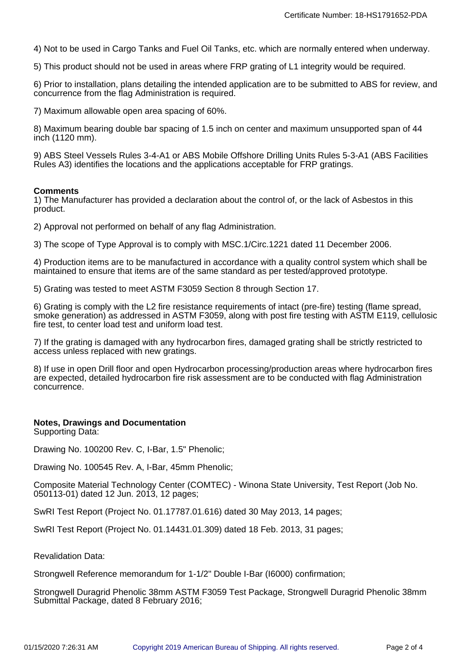4) Not to be used in Cargo Tanks and Fuel Oil Tanks, etc. which are normally entered when underway.

5) This product should not be used in areas where FRP grating of L1 integrity would be required.

6) Prior to installation, plans detailing the intended application are to be submitted to ABS for review, and concurrence from the flag Administration is required.

7) Maximum allowable open area spacing of 60%.

8) Maximum bearing double bar spacing of 1.5 inch on center and maximum unsupported span of 44 inch (1120 mm).

9) ABS Steel Vessels Rules 3-4-A1 or ABS Mobile Offshore Drilling Units Rules 5-3-A1 (ABS Facilities Rules A3) identifies the locations and the applications acceptable for FRP gratings.

#### **Comments**

1) The Manufacturer has provided a declaration about the control of, or the lack of Asbestos in this product.

2) Approval not performed on behalf of any flag Administration.

3) The scope of Type Approval is to comply with MSC.1/Circ.1221 dated 11 December 2006.

4) Production items are to be manufactured in accordance with a quality control system which shall be maintained to ensure that items are of the same standard as per tested/approved prototype.

5) Grating was tested to meet ASTM F3059 Section 8 through Section 17.

6) Grating is comply with the L2 fire resistance requirements of intact (pre-fire) testing (flame spread, smoke generation) as addressed in ASTM F3059, along with post fire testing with ASTM E119, cellulosic fire test, to center load test and uniform load test.

7) If the grating is damaged with any hydrocarbon fires, damaged grating shall be strictly restricted to access unless replaced with new gratings.

8) If use in open Drill floor and open Hydrocarbon processing/production areas where hydrocarbon fires are expected, detailed hydrocarbon fire risk assessment are to be conducted with flag Administration concurrence.

#### **Notes, Drawings and Documentation**

Supporting Data:

Drawing No. 100200 Rev. C, I-Bar, 1.5" Phenolic;

Drawing No. 100545 Rev. A, I-Bar, 45mm Phenolic;

Composite Material Technology Center (COMTEC) - Winona State University, Test Report (Job No. 050113-01) dated 12 Jun. 2013, 12 pages;

SwRI Test Report (Project No. 01.17787.01.616) dated 30 May 2013, 14 pages;

SwRI Test Report (Project No. 01.14431.01.309) dated 18 Feb. 2013, 31 pages;

Revalidation Data:

Strongwell Reference memorandum for 1-1/2" Double I-Bar (I6000) confirmation;

Strongwell Duragrid Phenolic 38mm ASTM F3059 Test Package, Strongwell Duragrid Phenolic 38mm Submittal Package, dated 8 February 2016;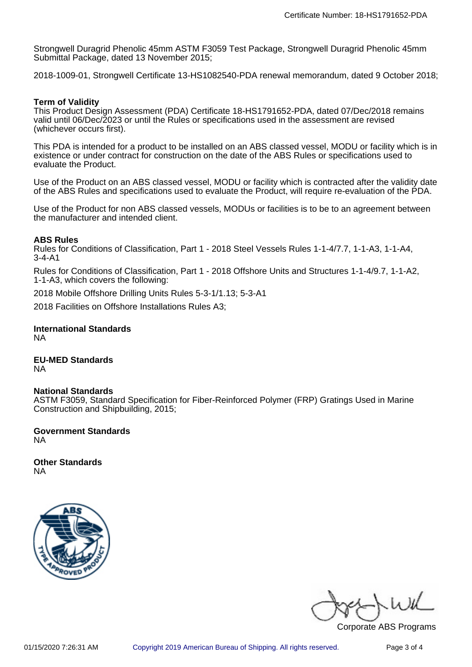Strongwell Duragrid Phenolic 45mm ASTM F3059 Test Package, Strongwell Duragrid Phenolic 45mm Submittal Package, dated 13 November 2015;

2018-1009-01, Strongwell Certificate 13-HS1082540-PDA renewal memorandum, dated 9 October 2018;

### **Term of Validity**

This Product Design Assessment (PDA) Certificate 18-HS1791652-PDA, dated 07/Dec/2018 remains valid until 06/Dec/2023 or until the Rules or specifications used in the assessment are revised (whichever occurs first).

This PDA is intended for a product to be installed on an ABS classed vessel, MODU or facility which is in existence or under contract for construction on the date of the ABS Rules or specifications used to evaluate the Product.

Use of the Product on an ABS classed vessel, MODU or facility which is contracted after the validity date of the ABS Rules and specifications used to evaluate the Product, will require re-evaluation of the PDA.

Use of the Product for non ABS classed vessels, MODUs or facilities is to be to an agreement between the manufacturer and intended client.

#### **ABS Rules**

Rules for Conditions of Classification, Part 1 - 2018 Steel Vessels Rules 1-1-4/7.7, 1-1-A3, 1-1-A4, 3-4-A1

Rules for Conditions of Classification, Part 1 - 2018 Offshore Units and Structures 1-1-4/9.7, 1-1-A2, 1-1-A3, which covers the following:

2018 Mobile Offshore Drilling Units Rules 5-3-1/1.13; 5-3-A1

2018 Facilities on Offshore Installations Rules A3;

#### **International Standards** NA

**EU-MED Standards** NA

## **National Standards**

ASTM F3059, Standard Specification for Fiber-Reinforced Polymer (FRP) Gratings Used in Marine Construction and Shipbuilding, 2015;

**Government Standards** NA

**Other Standards** NA



wil

Corporate ABS Programs